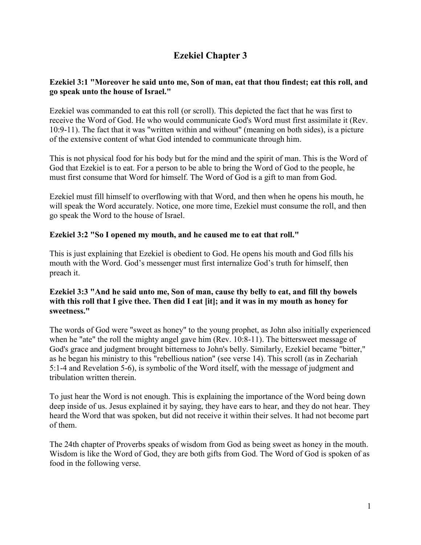# **Ezekiel Chapter 3**

# **Ezekiel 3:1 "Moreover he said unto me, Son of man, eat that thou findest; eat this roll, and go speak unto the house of Israel."**

Ezekiel was commanded to eat this roll (or scroll). This depicted the fact that he was first to receive the Word of God. He who would communicate God's Word must first assimilate it (Rev. 10:9-11). The fact that it was "written within and without" (meaning on both sides), is a picture of the extensive content of what God intended to communicate through him.

This is not physical food for his body but for the mind and the spirit of man. This is the Word of God that Ezekiel is to eat. For a person to be able to bring the Word of God to the people, he must first consume that Word for himself. The Word of God is a gift to man from God.

Ezekiel must fill himself to overflowing with that Word, and then when he opens his mouth, he will speak the Word accurately. Notice, one more time, Ezekiel must consume the roll, and then go speak the Word to the house of Israel.

# **Ezekiel 3:2 "So I opened my mouth, and he caused me to eat that roll."**

This is just explaining that Ezekiel is obedient to God. He opens his mouth and God fills his mouth with the Word. God's messenger must first internalize God's truth for himself, then preach it.

# **Ezekiel 3:3 "And he said unto me, Son of man, cause thy belly to eat, and fill thy bowels with this roll that I give thee. Then did I eat [it]; and it was in my mouth as honey for sweetness."**

The words of God were "sweet as honey" to the young prophet, as John also initially experienced when he "ate" the roll the mighty angel gave him (Rev. 10:8-11). The bittersweet message of God's grace and judgment brought bitterness to John's belly. Similarly, Ezekiel became "bitter," as he began his ministry to this "rebellious nation" (see verse 14). This scroll (as in Zechariah 5:1-4 and Revelation 5-6), is symbolic of the Word itself, with the message of judgment and tribulation written therein.

To just hear the Word is not enough. This is explaining the importance of the Word being down deep inside of us. Jesus explained it by saying, they have ears to hear, and they do not hear. They heard the Word that was spoken, but did not receive it within their selves. It had not become part of them.

The 24th chapter of Proverbs speaks of wisdom from God as being sweet as honey in the mouth. Wisdom is like the Word of God, they are both gifts from God. The Word of God is spoken of as food in the following verse.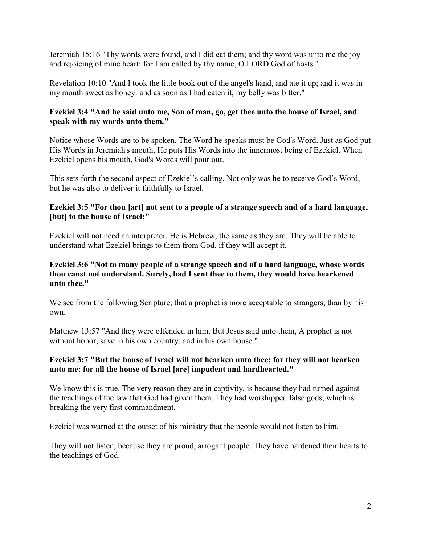Jeremiah 15:16 "Thy words were found, and I did eat them; and thy word was unto me the joy and rejoicing of mine heart: for I am called by thy name, O LORD God of hosts."

Revelation 10:10 "And I took the little book out of the angel's hand, and ate it up; and it was in my mouth sweet as honey: and as soon as I had eaten it, my belly was bitter."

#### **Ezekiel 3:4 "And he said unto me, Son of man, go, get thee unto the house of Israel, and speak with my words unto them."**

Notice whose Words are to be spoken. The Word he speaks must be God's Word. Just as God put His Words in Jeremiah's mouth, He puts His Words into the innermost being of Ezekiel. When Ezekiel opens his mouth, God's Words will pour out.

This sets forth the second aspect of Ezekiel's calling. Not only was he to receive God's Word, but he was also to deliver it faithfully to Israel.

#### **Ezekiel 3:5 "For thou [art] not sent to a people of a strange speech and of a hard language, [but] to the house of Israel;"**

Ezekiel will not need an interpreter. He is Hebrew, the same as they are. They will be able to understand what Ezekiel brings to them from God, if they will accept it.

#### **Ezekiel 3:6 "Not to many people of a strange speech and of a hard language, whose words thou canst not understand. Surely, had I sent thee to them, they would have hearkened unto thee."**

We see from the following Scripture, that a prophet is more acceptable to strangers, than by his own.

Matthew 13:57 "And they were offended in him. But Jesus said unto them, A prophet is not without honor, save in his own country, and in his own house."

# **Ezekiel 3:7 "But the house of Israel will not hearken unto thee; for they will not hearken unto me: for all the house of Israel [are] impudent and hardhearted."**

We know this is true. The very reason they are in captivity, is because they had turned against the teachings of the law that God had given them. They had worshipped false gods, which is breaking the very first commandment.

Ezekiel was warned at the outset of his ministry that the people would not listen to him.

They will not listen, because they are proud, arrogant people. They have hardened their hearts to the teachings of God.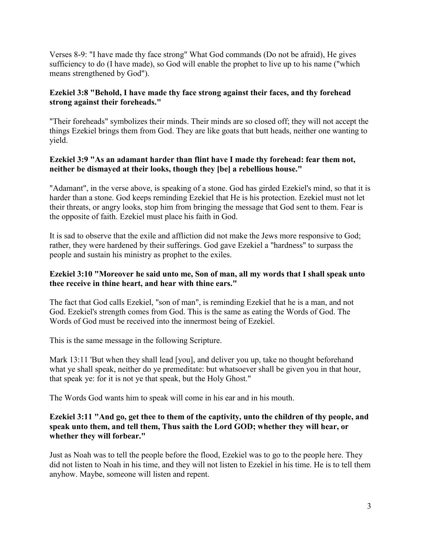Verses 8-9: "I have made thy face strong" What God commands (Do not be afraid), He gives sufficiency to do (I have made), so God will enable the prophet to live up to his name ("which means strengthened by God").

# **Ezekiel 3:8 "Behold, I have made thy face strong against their faces, and thy forehead strong against their foreheads."**

"Their foreheads" symbolizes their minds. Their minds are so closed off; they will not accept the things Ezekiel brings them from God. They are like goats that butt heads, neither one wanting to yield.

# **Ezekiel 3:9 "As an adamant harder than flint have I made thy forehead: fear them not, neither be dismayed at their looks, though they [be] a rebellious house."**

"Adamant", in the verse above, is speaking of a stone. God has girded Ezekiel's mind, so that it is harder than a stone. God keeps reminding Ezekiel that He is his protection. Ezekiel must not let their threats, or angry looks, stop him from bringing the message that God sent to them. Fear is the opposite of faith. Ezekiel must place his faith in God.

It is sad to observe that the exile and affliction did not make the Jews more responsive to God; rather, they were hardened by their sufferings. God gave Ezekiel a "hardness" to surpass the people and sustain his ministry as prophet to the exiles.

# **Ezekiel 3:10 "Moreover he said unto me, Son of man, all my words that I shall speak unto thee receive in thine heart, and hear with thine ears."**

The fact that God calls Ezekiel, "son of man", is reminding Ezekiel that he is a man, and not God. Ezekiel's strength comes from God. This is the same as eating the Words of God. The Words of God must be received into the innermost being of Ezekiel.

This is the same message in the following Scripture.

Mark 13:11 'But when they shall lead [you], and deliver you up, take no thought beforehand what ye shall speak, neither do ye premeditate: but whatsoever shall be given you in that hour, that speak ye: for it is not ye that speak, but the Holy Ghost."

The Words God wants him to speak will come in his ear and in his mouth.

# **Ezekiel 3:11 "And go, get thee to them of the captivity, unto the children of thy people, and speak unto them, and tell them, Thus saith the Lord GOD; whether they will hear, or whether they will forbear."**

Just as Noah was to tell the people before the flood, Ezekiel was to go to the people here. They did not listen to Noah in his time, and they will not listen to Ezekiel in his time. He is to tell them anyhow. Maybe, someone will listen and repent.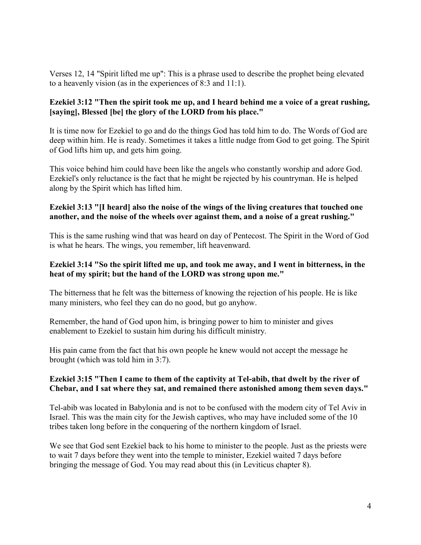Verses 12, 14 "Spirit lifted me up": This is a phrase used to describe the prophet being elevated to a heavenly vision (as in the experiences of 8:3 and 11:1).

# **Ezekiel 3:12 "Then the spirit took me up, and I heard behind me a voice of a great rushing, [saying], Blessed [be] the glory of the LORD from his place."**

It is time now for Ezekiel to go and do the things God has told him to do. The Words of God are deep within him. He is ready. Sometimes it takes a little nudge from God to get going. The Spirit of God lifts him up, and gets him going.

This voice behind him could have been like the angels who constantly worship and adore God. Ezekiel's only reluctance is the fact that he might be rejected by his countryman. He is helped along by the Spirit which has lifted him.

#### **Ezekiel 3:13 "[I heard] also the noise of the wings of the living creatures that touched one another, and the noise of the wheels over against them, and a noise of a great rushing."**

This is the same rushing wind that was heard on day of Pentecost. The Spirit in the Word of God is what he hears. The wings, you remember, lift heavenward.

#### **Ezekiel 3:14 "So the spirit lifted me up, and took me away, and I went in bitterness, in the heat of my spirit; but the hand of the LORD was strong upon me."**

The bitterness that he felt was the bitterness of knowing the rejection of his people. He is like many ministers, who feel they can do no good, but go anyhow.

Remember, the hand of God upon him, is bringing power to him to minister and gives enablement to Ezekiel to sustain him during his difficult ministry.

His pain came from the fact that his own people he knew would not accept the message he brought (which was told him in 3:7).

# **Ezekiel 3:15 "Then I came to them of the captivity at Tel-abib, that dwelt by the river of Chebar, and I sat where they sat, and remained there astonished among them seven days."**

Tel-abib was located in Babylonia and is not to be confused with the modern city of Tel Aviv in Israel. This was the main city for the Jewish captives, who may have included some of the 10 tribes taken long before in the conquering of the northern kingdom of Israel.

We see that God sent Ezekiel back to his home to minister to the people. Just as the priests were to wait 7 days before they went into the temple to minister, Ezekiel waited 7 days before bringing the message of God. You may read about this (in Leviticus chapter 8).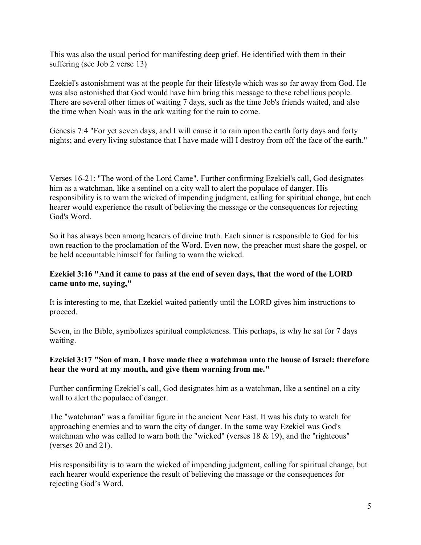This was also the usual period for manifesting deep grief. He identified with them in their suffering (see Job 2 verse 13)

Ezekiel's astonishment was at the people for their lifestyle which was so far away from God. He was also astonished that God would have him bring this message to these rebellious people. There are several other times of waiting 7 days, such as the time Job's friends waited, and also the time when Noah was in the ark waiting for the rain to come.

Genesis 7:4 "For yet seven days, and I will cause it to rain upon the earth forty days and forty nights; and every living substance that I have made will I destroy from off the face of the earth."

Verses 16-21: "The word of the Lord Came". Further confirming Ezekiel's call, God designates him as a watchman, like a sentinel on a city wall to alert the populace of danger. His responsibility is to warn the wicked of impending judgment, calling for spiritual change, but each hearer would experience the result of believing the message or the consequences for rejecting God's Word.

So it has always been among hearers of divine truth. Each sinner is responsible to God for his own reaction to the proclamation of the Word. Even now, the preacher must share the gospel, or be held accountable himself for failing to warn the wicked.

# **Ezekiel 3:16 "And it came to pass at the end of seven days, that the word of the LORD came unto me, saying,"**

It is interesting to me, that Ezekiel waited patiently until the LORD gives him instructions to proceed.

Seven, in the Bible, symbolizes spiritual completeness. This perhaps, is why he sat for 7 days waiting.

# **Ezekiel 3:17 "Son of man, I have made thee a watchman unto the house of Israel: therefore hear the word at my mouth, and give them warning from me."**

Further confirming Ezekiel's call, God designates him as a watchman, like a sentinel on a city wall to alert the populace of danger.

The "watchman" was a familiar figure in the ancient Near East. It was his duty to watch for approaching enemies and to warn the city of danger. In the same way Ezekiel was God's watchman who was called to warn both the "wicked" (verses 18 & 19), and the "righteous" (verses 20 and 21).

His responsibility is to warn the wicked of impending judgment, calling for spiritual change, but each hearer would experience the result of believing the massage or the consequences for rejecting God's Word.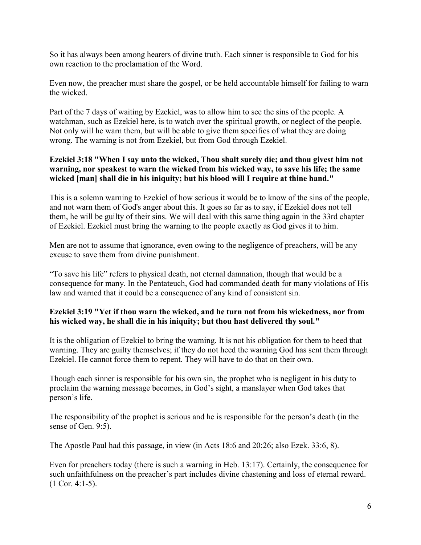So it has always been among hearers of divine truth. Each sinner is responsible to God for his own reaction to the proclamation of the Word.

Even now, the preacher must share the gospel, or be held accountable himself for failing to warn the wicked.

Part of the 7 days of waiting by Ezekiel, was to allow him to see the sins of the people. A watchman, such as Ezekiel here, is to watch over the spiritual growth, or neglect of the people. Not only will he warn them, but will be able to give them specifics of what they are doing wrong. The warning is not from Ezekiel, but from God through Ezekiel.

# **Ezekiel 3:18 "When I say unto the wicked, Thou shalt surely die; and thou givest him not warning, nor speakest to warn the wicked from his wicked way, to save his life; the same wicked [man] shall die in his iniquity; but his blood will I require at thine hand."**

This is a solemn warning to Ezekiel of how serious it would be to know of the sins of the people, and not warn them of God's anger about this. It goes so far as to say, if Ezekiel does not tell them, he will be guilty of their sins. We will deal with this same thing again in the 33rd chapter of Ezekiel. Ezekiel must bring the warning to the people exactly as God gives it to him.

Men are not to assume that ignorance, even owing to the negligence of preachers, will be any excuse to save them from divine punishment.

"To save his life" refers to physical death, not eternal damnation, though that would be a consequence for many. In the Pentateuch, God had commanded death for many violations of His law and warned that it could be a consequence of any kind of consistent sin.

# **Ezekiel 3:19 "Yet if thou warn the wicked, and he turn not from his wickedness, nor from his wicked way, he shall die in his iniquity; but thou hast delivered thy soul."**

It is the obligation of Ezekiel to bring the warning. It is not his obligation for them to heed that warning. They are guilty themselves; if they do not heed the warning God has sent them through Ezekiel. He cannot force them to repent. They will have to do that on their own.

Though each sinner is responsible for his own sin, the prophet who is negligent in his duty to proclaim the warning message becomes, in God's sight, a manslayer when God takes that person's life.

The responsibility of the prophet is serious and he is responsible for the person's death (in the sense of Gen. 9:5).

The Apostle Paul had this passage, in view (in Acts 18:6 and 20:26; also Ezek. 33:6, 8).

Even for preachers today (there is such a warning in Heb. 13:17). Certainly, the consequence for such unfaithfulness on the preacher's part includes divine chastening and loss of eternal reward. (1 Cor. 4:1-5).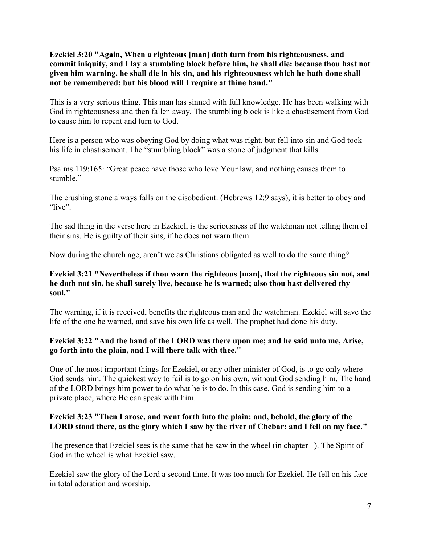**Ezekiel 3:20 "Again, When a righteous [man] doth turn from his righteousness, and commit iniquity, and I lay a stumbling block before him, he shall die: because thou hast not given him warning, he shall die in his sin, and his righteousness which he hath done shall not be remembered; but his blood will I require at thine hand."**

This is a very serious thing. This man has sinned with full knowledge. He has been walking with God in righteousness and then fallen away. The stumbling block is like a chastisement from God to cause him to repent and turn to God.

Here is a person who was obeying God by doing what was right, but fell into sin and God took his life in chastisement. The "stumbling block" was a stone of judgment that kills.

Psalms 119:165: "Great peace have those who love Your law, and nothing causes them to stumble."

The crushing stone always falls on the disobedient. (Hebrews 12:9 says), it is better to obey and "live".

The sad thing in the verse here in Ezekiel, is the seriousness of the watchman not telling them of their sins. He is guilty of their sins, if he does not warn them.

Now during the church age, aren't we as Christians obligated as well to do the same thing?

#### **Ezekiel 3:21 "Nevertheless if thou warn the righteous [man], that the righteous sin not, and he doth not sin, he shall surely live, because he is warned; also thou hast delivered thy soul."**

The warning, if it is received, benefits the righteous man and the watchman. Ezekiel will save the life of the one he warned, and save his own life as well. The prophet had done his duty.

# **Ezekiel 3:22 "And the hand of the LORD was there upon me; and he said unto me, Arise, go forth into the plain, and I will there talk with thee."**

One of the most important things for Ezekiel, or any other minister of God, is to go only where God sends him. The quickest way to fail is to go on his own, without God sending him. The hand of the LORD brings him power to do what he is to do. In this case, God is sending him to a private place, where He can speak with him.

# **Ezekiel 3:23 "Then I arose, and went forth into the plain: and, behold, the glory of the LORD stood there, as the glory which I saw by the river of Chebar: and I fell on my face."**

The presence that Ezekiel sees is the same that he saw in the wheel (in chapter 1). The Spirit of God in the wheel is what Ezekiel saw.

Ezekiel saw the glory of the Lord a second time. It was too much for Ezekiel. He fell on his face in total adoration and worship.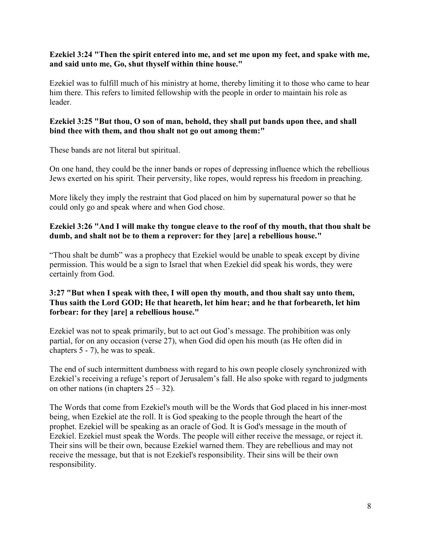#### **Ezekiel 3:24 "Then the spirit entered into me, and set me upon my feet, and spake with me, and said unto me, Go, shut thyself within thine house."**

Ezekiel was to fulfill much of his ministry at home, thereby limiting it to those who came to hear him there. This refers to limited fellowship with the people in order to maintain his role as leader.

# **Ezekiel 3:25 "But thou, O son of man, behold, they shall put bands upon thee, and shall bind thee with them, and thou shalt not go out among them:"**

These bands are not literal but spiritual.

On one hand, they could be the inner bands or ropes of depressing influence which the rebellious Jews exerted on his spirit. Their perversity, like ropes, would repress his freedom in preaching.

More likely they imply the restraint that God placed on him by supernatural power so that he could only go and speak where and when God chose.

#### **Ezekiel 3:26 "And I will make thy tongue cleave to the roof of thy mouth, that thou shalt be dumb, and shalt not be to them a reprover: for they [are] a rebellious house."**

"Thou shalt be dumb" was a prophecy that Ezekiel would be unable to speak except by divine permission. This would be a sign to Israel that when Ezekiel did speak his words, they were certainly from God.

# **3:27 "But when I speak with thee, I will open thy mouth, and thou shalt say unto them, Thus saith the Lord GOD; He that heareth, let him hear; and he that forbeareth, let him forbear: for they [are] a rebellious house."**

Ezekiel was not to speak primarily, but to act out God's message. The prohibition was only partial, for on any occasion (verse 27), when God did open his mouth (as He often did in chapters 5 - 7), he was to speak.

The end of such intermittent dumbness with regard to his own people closely synchronized with Ezekiel's receiving a refuge's report of Jerusalem's fall. He also spoke with regard to judgments on other nations (in chapters  $25 - 32$ ).

The Words that come from Ezekiel's mouth will be the Words that God placed in his inner-most being, when Ezekiel ate the roll. It is God speaking to the people through the heart of the prophet. Ezekiel will be speaking as an oracle of God. It is God's message in the mouth of Ezekiel. Ezekiel must speak the Words. The people will either receive the message, or reject it. Their sins will be their own, because Ezekiel warned them. They are rebellious and may not receive the message, but that is not Ezekiel's responsibility. Their sins will be their own responsibility.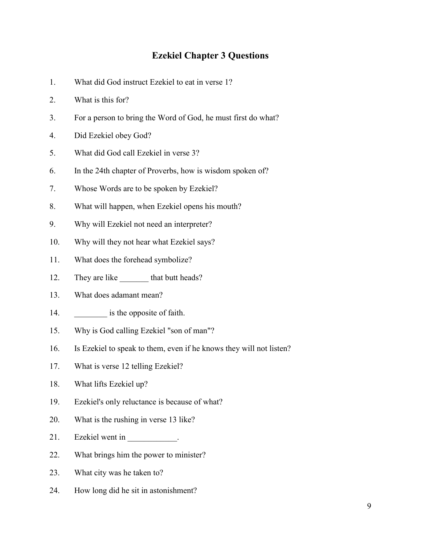# **Ezekiel Chapter 3 Questions**

- 1. What did God instruct Ezekiel to eat in verse 1?
- 2. What is this for?
- 3. For a person to bring the Word of God, he must first do what?
- 4. Did Ezekiel obey God?
- 5. What did God call Ezekiel in verse 3?
- 6. In the 24th chapter of Proverbs, how is wisdom spoken of?
- 7. Whose Words are to be spoken by Ezekiel?
- 8. What will happen, when Ezekiel opens his mouth?
- 9. Why will Ezekiel not need an interpreter?
- 10. Why will they not hear what Ezekiel says?
- 11. What does the forehead symbolize?
- 12. They are like that butt heads?
- 13. What does adamant mean?
- 14. **\_\_\_\_\_\_\_** is the opposite of faith.
- 15. Why is God calling Ezekiel "son of man"?
- 16. Is Ezekiel to speak to them, even if he knows they will not listen?
- 17. What is verse 12 telling Ezekiel?
- 18. What lifts Ezekiel up?
- 19. Ezekiel's only reluctance is because of what?
- 20. What is the rushing in verse 13 like?
- 21. Ezekiel went in Fig. 21.
- 22. What brings him the power to minister?
- 23. What city was he taken to?
- 24. How long did he sit in astonishment?